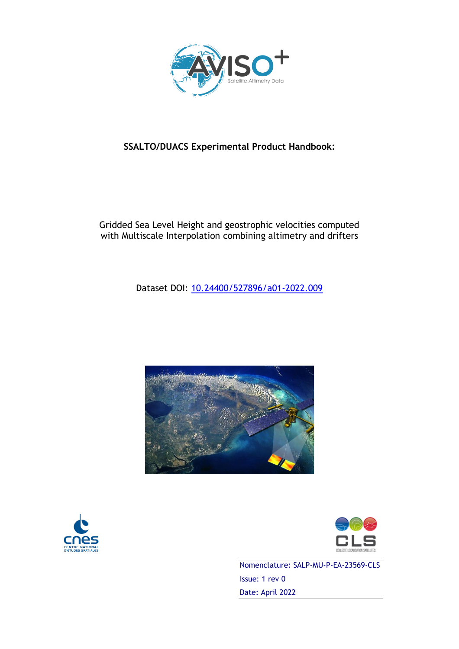

## Gridded Sea Level Height and geostrophic velocities computed with Multiscale Interpolation combining altimetry and drifters

Dataset DOI: [10.24400/527896/a01-2022.009](https://doi.org/10.24400/527896/a01-2022.009)







Nomenclature: SALP-MU-P-EA-23569-CLS Issue: 1 rev 0 Date: April 2022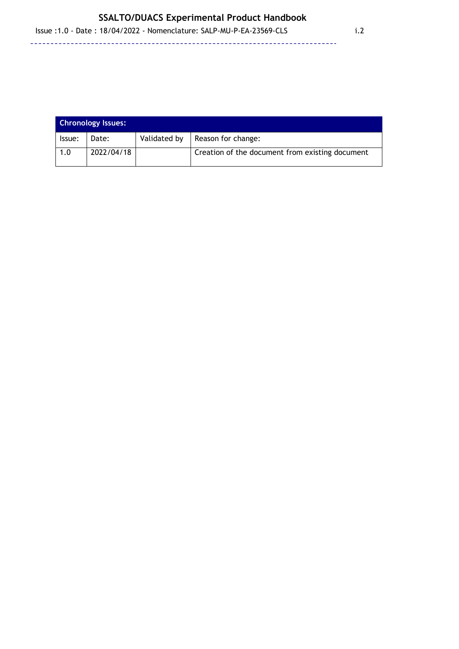| <b>Chronology Issues:</b> |            |              |                                                 |
|---------------------------|------------|--------------|-------------------------------------------------|
| lssue:                    | Date:      | Validated by | Reason for change:                              |
| 1.0                       | 2022/04/18 |              | Creation of the document from existing document |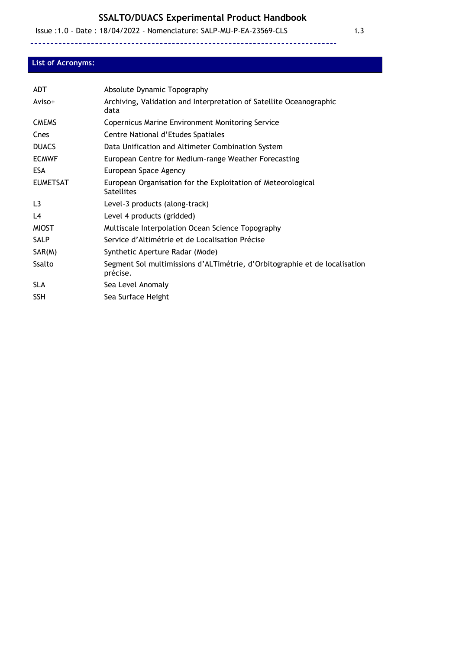Issue :1.0 - Date : 18/04/2022 - Nomenclature: SALP-MU-P-EA-23569-CLS i.3

#### **List of Acronyms:**

| ADT             | Absolute Dynamic Topography                                                            |
|-----------------|----------------------------------------------------------------------------------------|
| Aviso+          | Archiving, Validation and Interpretation of Satellite Oceanographic<br>data            |
| <b>CMEMS</b>    | <b>Copernicus Marine Environment Monitoring Service</b>                                |
| Cnes            | Centre National d'Etudes Spatiales                                                     |
| <b>DUACS</b>    | Data Unification and Altimeter Combination System                                      |
| <b>ECMWF</b>    | European Centre for Medium-range Weather Forecasting                                   |
| <b>ESA</b>      | European Space Agency                                                                  |
| <b>EUMETSAT</b> | European Organisation for the Exploitation of Meteorological<br><b>Satellites</b>      |
| L <sub>3</sub>  | Level-3 products (along-track)                                                         |
| L4              | Level 4 products (gridded)                                                             |
| <b>MIOST</b>    | Multiscale Interpolation Ocean Science Topography                                      |
| <b>SALP</b>     | Service d'Altimétrie et de Localisation Précise                                        |
| SAR(M)          | Synthetic Aperture Radar (Mode)                                                        |
| Ssalto          | Segment Sol multimissions d'ALTimétrie, d'Orbitographie et de localisation<br>précise. |
| <b>SLA</b>      | Sea Level Anomaly                                                                      |
| <b>SSH</b>      | Sea Surface Height                                                                     |
|                 |                                                                                        |

--------------

<u> - - - - - - - -</u>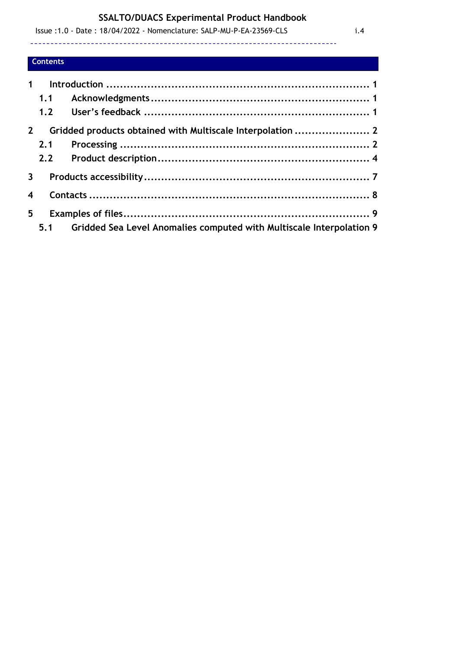--------------------------------

 Issue :1.0 - Date : 18/04/2022 - Nomenclature: SALP-MU-P-EA-23569-CLS i.4 -------------------------------------

## **Contents**

| 1                       |     |                                                                      |  |
|-------------------------|-----|----------------------------------------------------------------------|--|
|                         |     |                                                                      |  |
|                         | 1.1 |                                                                      |  |
|                         |     |                                                                      |  |
| $2^{\circ}$             |     | Gridded products obtained with Multiscale Interpolation  2           |  |
|                         | 2.1 |                                                                      |  |
|                         |     |                                                                      |  |
| 3 <sup>7</sup>          |     |                                                                      |  |
| $\overline{\mathbf{4}}$ |     |                                                                      |  |
| 5                       |     |                                                                      |  |
|                         | 5.1 | Gridded Sea Level Anomalies computed with Multiscale Interpolation 9 |  |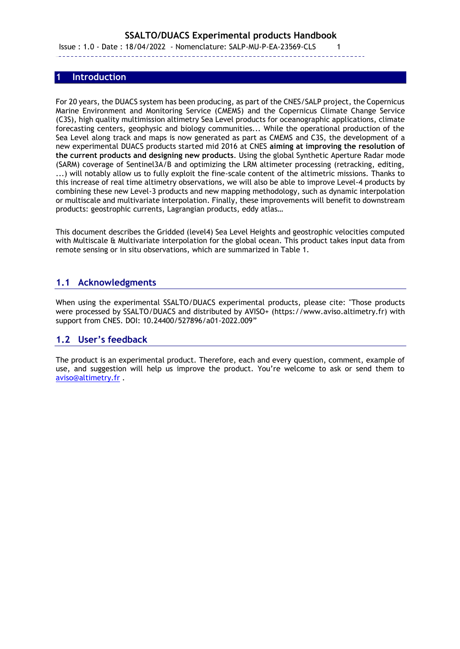Issue : 1.0 - Date : 18/04/2022 - Nomenclature: SALP-MU-P-EA-23569-CLS 1 

### **1 Introduction**

<span id="page-4-0"></span>---------

For 20 years, the DUACS system has been producing, as part of the CNES/SALP project, the Copernicus Marine Environment and Monitoring Service (CMEMS) and the Copernicus Climate Change Service (C3S), high quality multimission altimetry Sea Level products for oceanographic applications, climate forecasting centers, geophysic and biology communities... While the operational production of the Sea Level along track and maps is now generated as part as CMEMS and C3S, the development of a new experimental DUACS products started mid 2016 at CNES **aiming at improving the resolution of the current products and designing new products**. Using the global Synthetic Aperture Radar mode (SARM) coverage of Sentinel3A/B and optimizing the LRM altimeter processing (retracking, editing, ...) will notably allow us to fully exploit the fine-scale content of the altimetric missions. Thanks to this increase of real time altimetry observations, we will also be able to improve Level-4 products by combining these new Level-3 products and new mapping methodology, such as dynamic interpolation or multiscale and multivariate interpolation. Finally, these improvements will benefit to downstream products: geostrophic currents, Lagrangian products, eddy atlas…

This document describes the Gridded (level4) Sea Level Heights and geostrophic velocities computed with Multiscale & Multivariate interpolation for the global ocean. This product takes input data from remote sensing or in situ observations, which are summarized in Table 1.

## <span id="page-4-1"></span>**1.1 Acknowledgments**

When using the experimental SSALTO/DUACS experimental products, please cite: "Those products were processed by SSALTO/DUACS and distributed by AVISO+ (https://www.aviso.altimetry.fr) with support from CNES. DOI: 10.24400/527896/a01-2022.009"

#### <span id="page-4-2"></span>**1.2 User's feedback**

The product is an experimental product. Therefore, each and every question, comment, example of use, and suggestion will help us improve the product. You're welcome to ask or send them to [aviso@altimetry.fr](mailto:aviso@altimetry.fr) .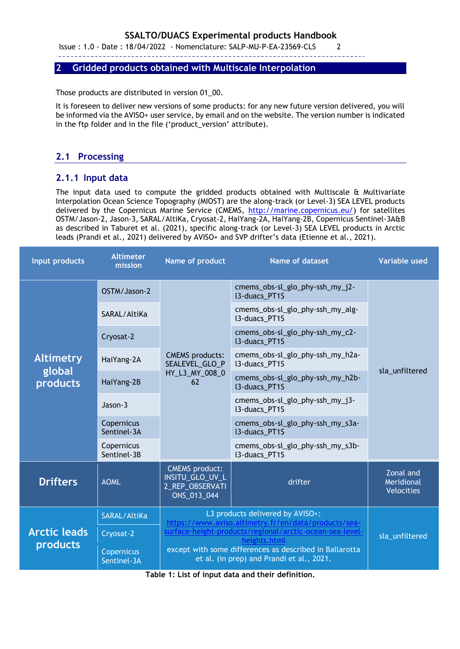Issue : 1.0 - Date : 18/04/2022 - Nomenclature: SALP-MU-P-EA-23569-CLS 2

---------

#### <span id="page-5-0"></span>**2 Gridded products obtained with Multiscale Interpolation**

Those products are distributed in version 01\_00.

It is foreseen to deliver new versions of some products: for any new future version delivered, you will be informed via the AVISO+ user service, by email and on the website. The version number is indicated in the ftp folder and in the file ('product\_version' attribute).

## <span id="page-5-1"></span>**2.1 Processing**

## **2.1.1 Input data**

The input data used to compute the gridded products obtained with Multiscale & Multivariate Interpolation Ocean Science Topography (MIOST) are the along-track (or Level-3) SEA LEVEL products delivered by the Copernicus Marine Service (CMEMS, [http://marine.copernicus.eu/\)](http://marine.copernicus.eu/) for satellites OSTM/Jason-2, Jason-3, SARAL/AltiKa, Cryosat-2, HaiYang-2A, HaiYang-2B, Copernicus Sentinel-3A&B as described in Taburet et al. (2021), specific along-track (or Level-3) SEA LEVEL products in Arctic leads (Prandi et al., 2021) delivered by AVISO+ and SVP drifter's data (Etienne et al., 2021).

| Input products                         | <b>Altimeter</b><br>mission      | Name of product                                                                                                                                                                                                                                                              | <b>Name of dataset</b>                                   | <b>Variable used</b>                         |
|----------------------------------------|----------------------------------|------------------------------------------------------------------------------------------------------------------------------------------------------------------------------------------------------------------------------------------------------------------------------|----------------------------------------------------------|----------------------------------------------|
|                                        | OSTM/Jason-2                     | <b>CMEMS</b> products:<br>SEALEVEL_GLO_P<br>HY_L3_MY_008_0<br>62                                                                                                                                                                                                             | cmems_obs-sl_glo_phy-ssh_my_j2-<br><b>I3-duacs_PT1S</b>  | sla_unfiltered                               |
|                                        | SARAL/AltiKa                     |                                                                                                                                                                                                                                                                              | cmems_obs-sl_glo_phy-ssh_my_alg-<br>l3-duacs_PT1S        |                                              |
|                                        | Cryosat-2                        |                                                                                                                                                                                                                                                                              | cmems_obs-sl_glo_phy-ssh_my_c2-<br><b>I3-duacs_PT1S</b>  |                                              |
| <b>Altimetry</b>                       | HaiYang-2A                       |                                                                                                                                                                                                                                                                              | cmems_obs-sl_glo_phy-ssh_my_h2a-<br>13-duacs_PT1S        |                                              |
| global<br>products                     | HaiYang-2B                       |                                                                                                                                                                                                                                                                              | cmems_obs-sl_glo_phy-ssh_my_h2b-<br>13-duacs PT1S        |                                              |
|                                        | $Jason-3$                        |                                                                                                                                                                                                                                                                              | cmems_obs-sl_glo_phy-ssh_my_j3-<br>l3-duacs_PT1S         |                                              |
|                                        | Copernicus<br>Sentinel-3A        |                                                                                                                                                                                                                                                                              | cmems_obs-sl_glo_phy-ssh_my_s3a-<br><b>I3-duacs_PT1S</b> |                                              |
|                                        | Copernicus<br>Sentinel-3B        |                                                                                                                                                                                                                                                                              | cmems_obs-sl_glo_phy-ssh_my_s3b-<br>13-duacs_PT1S        |                                              |
| <b>Drifters</b>                        | <b>AOML</b>                      | <b>CMEMS</b> product:<br>INSITU_GLO_UV_L<br>2_REP_OBSERVATI<br>ONS_013_044                                                                                                                                                                                                   | drifter                                                  | Zonal and<br>Meridional<br><b>Velocities</b> |
|                                        | SARAL/AltiKa                     | L3 products delivered by AVISO+:<br>https://www.aviso.altimetry.fr/en/data/products/sea-<br>surface-height-products/regional/arctic-ocean-sea-level-<br>heights.html<br>except with some differences as described in Ballarotta<br>et al. (in prep) and Prandi et al., 2021. |                                                          |                                              |
| <b>Arctic leads</b><br><b>products</b> | Cryosat-2                        |                                                                                                                                                                                                                                                                              |                                                          | sla_unfiltered                               |
|                                        | <b>Copernicus</b><br>Sentinel-3A |                                                                                                                                                                                                                                                                              |                                                          |                                              |

**Table 1: List of input data and their definition.**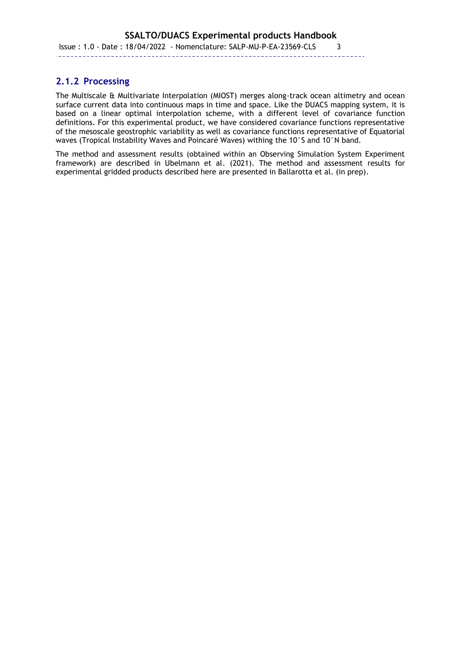Issue : 1.0 - Date : 18/04/2022 - Nomenclature: SALP-MU-P-EA-23569-CLS 3

## ---------

## **2.1.2 Processing**

The Multiscale & Multivariate Interpolation (MIOST) merges along-track ocean altimetry and ocean surface current data into continuous maps in time and space. Like the DUACS mapping system, it is based on a linear optimal interpolation scheme, with a different level of covariance function definitions. For this experimental product, we have considered covariance functions representative of the mesoscale geostrophic variability as well as covariance functions representative of Equatorial waves (Tropical Instability Waves and Poincaré Waves) withing the 10°S and 10°N band.

The method and assessment results (obtained within an Observing Simulation System Experiment framework) are described in Ubelmann et al. (2021). The method and assessment results for experimental gridded products described here are presented in Ballarotta et al. (in prep).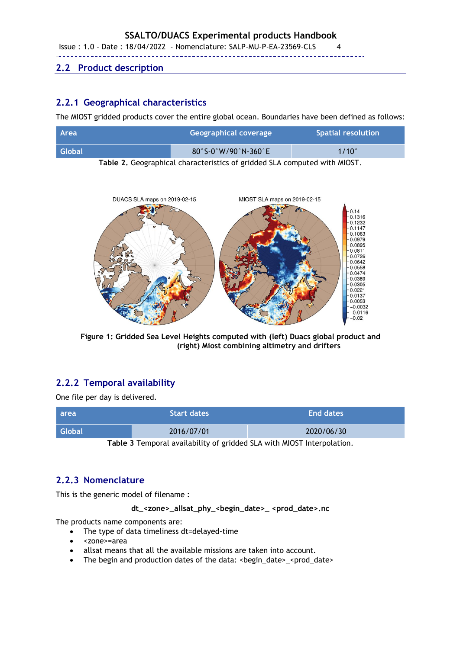Issue : 1.0 - Date : 18/04/2022 - Nomenclature: SALP-MU-P-EA-23569-CLS 4

### <span id="page-7-0"></span>**2.2 Product description**

---------

## **2.2.1 Geographical characteristics**

The MIOST gridded products cover the entire global ocean. Boundaries have been defined as follows:

| <b>Area</b>   | Geographical coverage                                  | <b>Spatial resolution</b> |
|---------------|--------------------------------------------------------|---------------------------|
| <b>Global</b> | $80^\circ$ S-0 $^\circ$ W/90 $^\circ$ N-360 $^\circ$ E | $1/10^{\circ}$            |

**Table 2.** Geographical characteristics of gridded SLA computed with MIOST.



**Figure 1: Gridded Sea Level Heights computed with (left) Duacs global product and (right) Miost combining altimetry and drifters**

## **2.2.2 Temporal availability**

One file per day is delivered.

| <b>area</b>   | <b>Start dates</b> | <b>End dates</b> |
|---------------|--------------------|------------------|
| <b>Global</b> | 2016/07/01         | 2020/06/30       |

**Table 3** Temporal availability of gridded SLA with MIOST Interpolation.

## **2.2.3 Nomenclature**

This is the generic model of filename :

#### **dt\_<zone>\_allsat\_phy\_<begin\_date>\_ <prod\_date>.nc**

The products name components are:

- The type of data timeliness dt=delayed-time
- <zone>=area
- allsat means that all the available missions are taken into account.
- The begin and production dates of the data: <br/>begin\_date>\_<prod\_date>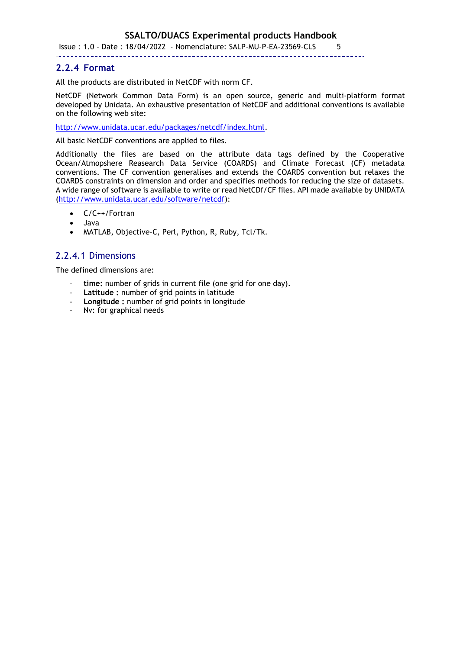Issue : 1.0 - Date : 18/04/2022 - Nomenclature: SALP-MU-P-EA-23569-CLS 5

#### ---------

### **2.2.4 Format**

All the products are distributed in NetCDF with norm CF.

NetCDF (Network Common Data Form) is an open source, generic and multi-platform format developed by Unidata. An exhaustive presentation of NetCDF and additional conventions is available on the following web site:

[http://www.unidata.ucar.edu/packages/netcdf/index.html.](http://www.unidata.ucar.edu/)

All basic NetCDF conventions are applied to files.

Additionally the files are based on the attribute data tags defined by the Cooperative Ocean/Atmopshere Reasearch Data Service (COARDS) and Climate Forecast (CF) metadata conventions. The CF convention generalises and extends the COARDS convention but relaxes the COARDS constraints on dimension and order and specifies methods for reducing the size of datasets. A wide range of software is available to write or read NetCDf/CF files. API made available by UNIDATA [\(http://www.unidata.ucar.edu/software/netcdf\)](http://www.unidata.ucar.edu/software/netcdf):

- C/C++/Fortran
- Java
- MATLAB, Objective-C, Perl, Python, R, Ruby, Tcl/Tk.

## 2.2.4.1 Dimensions

The defined dimensions are:

- time: number of grids in current file (one grid for one day).
- **Latitude :** number of grid points in latitude
- **Longitude :** number of grid points in longitude
- Nv: for graphical needs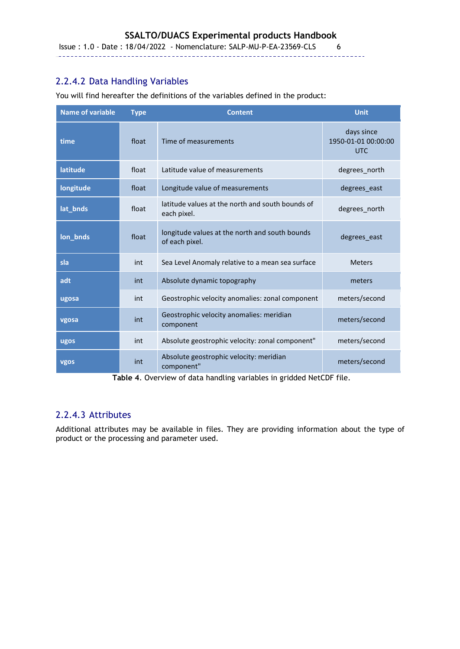Issue : 1.0 - Date : 18/04/2022 - Nomenclature: SALP-MU-P-EA-23569-CLS 6

## 2.2.4.2 Data Handling Variables

---------

**Name of variable Type Content Unit time float Time of measurements** days since 1950-01-01 00:00:00 UTC **latitude float** Latitude value of measurements **degrees** north **longitude degrees\_east** float Longitude value of measurements and the degrees\_east lat**\_bnds** float latitude values at the north and south bounds of degrees\_north<br>each pixel. **lon\_bnds** float longitude values at the north and south bounds degrees\_east of each pixel. **sla int** Sea Level Anomaly relative to a mean sea surface Meters **adt** int Absolute dynamic topography meters meters **ugosa** int Geostrophic velocity anomalies: zonal component meters/second **vgosa int** Geostrophic velocity anomalies: meridian component meters/second **ugos** int Absolute geostrophic velocity: zonal component" meters/second **vgos** int Absolute geostrophic velocity: meridian component" meters/second

You will find hereafter the definitions of the variables defined in the product:

**Table 4**. Overview of data handling variables in gridded NetCDF file.

## 2.2.4.3 Attributes

Additional attributes may be available in files. They are providing information about the type of product or the processing and parameter used.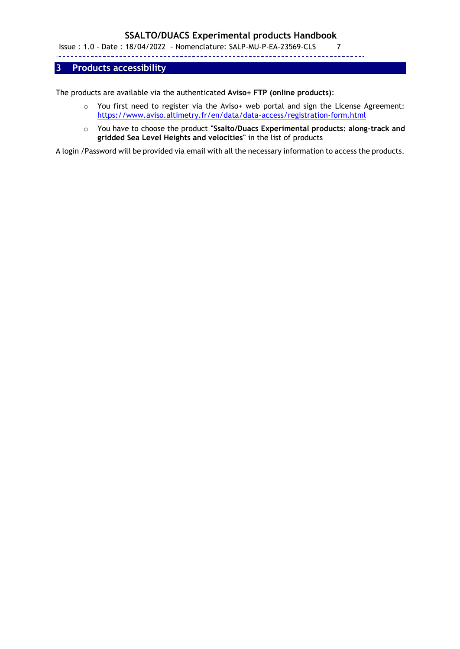Issue : 1.0 - Date : 18/04/2022 - Nomenclature: SALP-MU-P-EA-23569-CLS 7

---------

### <span id="page-10-0"></span>**3 Products accessibility**

The products are available via the authenticated **Aviso+ FTP (online products)**:

- o You first need to register via the Aviso+ web portal and sign the License Agreement: <https://www.aviso.altimetry.fr/en/data/data-access/registration-form.html>
- o You have to choose the product **"Ssalto/Duacs Experimental products: along-track and gridded Sea Level Heights and velocities"** in the list of products

A login /Password will be provided via email with all the necessary information to access the products.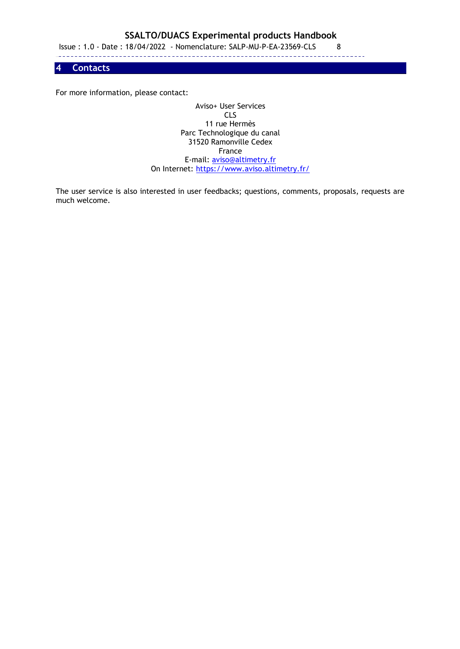Issue : 1.0 - Date : 18/04/2022 - Nomenclature: SALP-MU-P-EA-23569-CLS 8

---------

<span id="page-11-0"></span>**4 Contacts**

For more information, please contact:

Aviso+ User Services CLS 11 rue Hermès Parc Technologique du canal 31520 Ramonville Cedex France E-mail: aviso@altimetry.fr On Internet:<https://www.aviso.altimetry.fr/>

The user service is also interested in user feedbacks; questions, comments, proposals, requests are much welcome.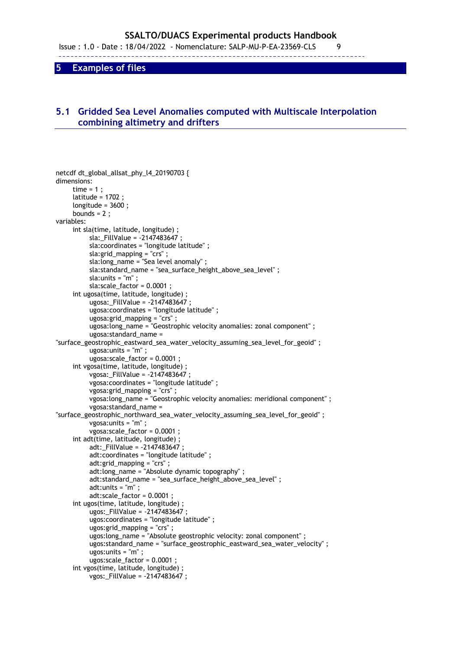Issue : 1.0 - Date : 18/04/2022 - Nomenclature: SALP-MU-P-EA-23569-CLS 9

---------

<span id="page-12-0"></span>**5 Examples of files**

## <span id="page-12-1"></span>**5.1 Gridded Sea Level Anomalies computed with Multiscale Interpolation combining altimetry and drifters**

```
netcdf dt_global_allsat_phy_l4_20190703 {
dimensions:
     time = 1;
      latitude = 1702 ;
      longitude = 3600 ;
     bounds = 2;
variables:
      int sla(time, latitude, longitude) ;
           sla:_FillValue = -2147483647 ;
           sla:coordinates = "longitude latitude" ;
           sla:grid_mapping = "crs" ;
          sla: long name = "Sea level anomaly" ;
           sla:standard_name = "sea_surface_height_above_sea_level" ;
           sla:units = "m" ;
           sla:scale_factor = 0.0001 ;
      int ugosa(time, latitude, longitude) ;
           ugosa:_FillValue = -2147483647 ;
           ugosa:coordinates = "longitude latitude" ;
           ugosa:grid_mapping = "crs" ;
           ugosa:long_name = "Geostrophic velocity anomalies: zonal component" ;
           ugosa:standard_name = 
"surface_geostrophic_eastward_sea_water_velocity_assuming_sea_level_for_geoid" ;
           ugosa:units = "m" ;
           ugosa:scale_factor = 0.0001 ;
      int vgosa(time, latitude, longitude) ;
           vgosa:_FillValue = -2147483647 ;
           vgosa:coordinates = "longitude latitude" ;
           vgosa:grid_mapping = "crs" ;
           vgosa:long_name = "Geostrophic velocity anomalies: meridional component" ;
           vgosa:standard_name = 
"surface_geostrophic_northward_sea_water_velocity_assuming_sea_level_for_geoid" ;
           vgosa:units = "m" ;
           vgosa:scale_factor = 0.0001 ;
      int adt(time, latitude, longitude) ;
           adt:_FillValue = -2147483647 ;
           adt:coordinates = "longitude latitude" ;
           adt:grid_mapping = "crs" ;
           adt:long_name = "Absolute dynamic topography" ;
           adt:standard_name = "sea_surface_height_above_sea_level" ;
          ad:units = "m" ;
           adt:scale_factor = 0.0001 ;
      int ugos(time, latitude, longitude) ;
           ugos:_FillValue = -2147483647 ;
           ugos:coordinates = "longitude latitude" ;
           ugos:grid_mapping = "crs" ;
           ugos:long_name = "Absolute geostrophic velocity: zonal component" ;
           ugos:standard_name = "surface_geostrophic_eastward_sea_water_velocity" ;
           ugos:units = "m" ;
           ugos:scale_factor = 0.0001 ;
      int vgos(time, latitude, longitude) ;
           vgos:_FillValue = -2147483647 ;
```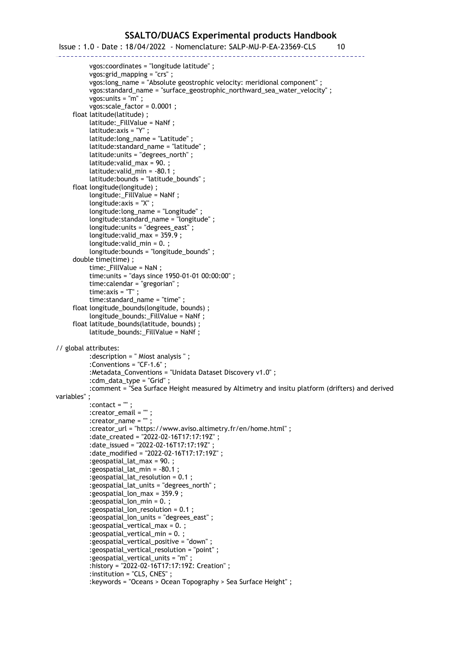## Issue : 1.0 - Date : 18/04/2022 - Nomenclature: SALP-MU-P-EA-23569-CLS 10

-------- vgos:coordinates = "longitude latitude" ; vgos:grid\_mapping = "crs" ; vgos: long\_name = "Absolute geostrophic velocity: meridional component" ; vgos:standard\_name = "surface\_geostrophic\_northward\_sea\_water\_velocity" ; vgos:units = "m" ; vgos:scale\_factor = 0.0001 ; float latitude(latitude) ; latitude:\_FillValue = NaNf ; latitude:axis = "Y" ; latitude:long\_name = "Latitude" ; latitude:standard\_name = "latitude" ; latitude:units = "degrees\_north" ; latitude:valid\_max = 90. ; latitude:valid\_min = -80.1 ; latitude:bounds = "latitude\_bounds" ; float longitude(longitude) ; longitude:\_FillValue = NaNf ; longitude:axis = "X" ; longitude:long\_name = "Longitude" ; longitude:standard\_name = "longitude" ; longitude:units = "degrees\_east" ; longitude:valid\_max = 359.9 ; longitude:valid\_min = 0. ; longitude:bounds = "longitude\_bounds" ; double time(time) ; time:\_FillValue = NaN ; time:units = "days since 1950-01-01 00:00:00" ; time:calendar = "gregorian" ; time:axis = "T" ; time:standard\_name = "time" ; float longitude\_bounds(longitude, bounds) ; longitude\_bounds: FillValue = NaNf ; float latitude\_bounds(latitude, bounds) ; latitude\_bounds:\_FillValue = NaNf ; // global attributes: :description = " Miost analysis " ; :Conventions = "CF-1.6" ; :Metadata\_Conventions = "Unidata Dataset Discovery v1.0" ; :cdm\_data\_type = "Grid" ; :comment = "Sea Surface Height measured by Altimetry and insitu platform (drifters) and derived variables" ; :contact = "" ; :creator\_email = "" ; : creator\_name =  $\overline{\phantom{a}}$  ; :creator\_url = "https://www.aviso.altimetry.fr/en/home.html" ; :date\_created = "2022-02-16T17:17:19Z" ; :date\_issued = "2022-02-16T17:17:19Z" ; :date\_modified = "2022-02-16T17:17:19Z" ; :geospatial\_lat\_max = 90. ; :geospatial\_lat\_min = -80.1 ; :geospatial\_lat\_resolution = 0.1 ; :geospatial\_lat\_units = "degrees\_north" ; :geospatial\_lon\_max = 359.9 ; :geospatial\_lon\_min = 0. ; :geospatial\_lon\_resolution = 0.1 ; :geospatial\_lon\_units = "degrees\_east" ; :geospatial\_vertical\_max = 0. ; :geospatial\_vertical\_min = 0. ; :geospatial\_vertical\_positive = "down" ; :geospatial\_vertical\_resolution = "point" ; :geospatial\_vertical\_units = "m" ; :history = "2022-02-16T17:17:19Z: Creation" ; :institution = "CLS, CNES" ; :keywords = "Oceans > Ocean Topography > Sea Surface Height" ;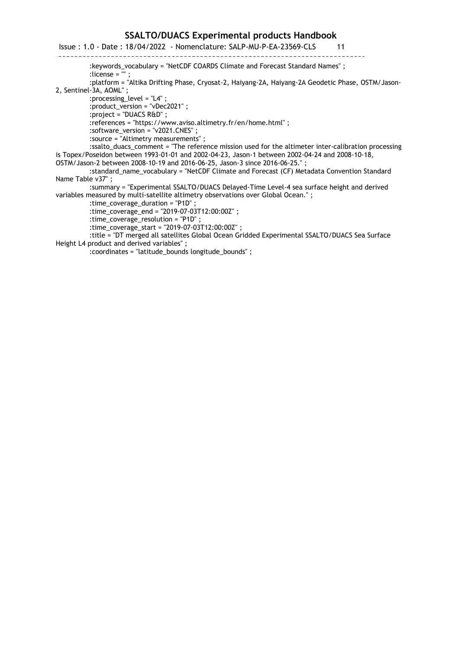Issue : 1.0 - Date : 18/04/2022 - Nomenclature: SALP-MU-P-EA-23569-CLS 11  $- - - - - -$ 

:keywords\_vocabulary = "NetCDF COARDS Climate and Forecast Standard Names" ;

:license = "" ;

 :platform = "Altika Drifting Phase, Cryosat-2, Haiyang-2A, Haiyang-2A Geodetic Phase, OSTM/Jason-2, Sentinel-3A, AOML" ;

:processing\_level = "L4" ;

---------

:product\_version = "vDec2021" ;

:project = "DUACS R&D" ;

:references = "https://www.aviso.altimetry.fr/en/home.html" ;

:software\_version = "v2021.CNES" ;

:source = "Altimetry measurements" ;

 :ssalto\_duacs\_comment = "The reference mission used for the altimeter inter-calibration processing is Topex/Poseidon between 1993-01-01 and 2002-04-23, Jason-1 between 2002-04-24 and 2008-10-18,

OSTM/Jason-2 between 2008-10-19 and 2016-06-25, Jason-3 since 2016-06-25." ;

 :standard\_name\_vocabulary = "NetCDF Climate and Forecast (CF) Metadata Convention Standard Name Table v37" ;

 :summary = "Experimental SSALTO/DUACS Delayed-Time Level-4 sea surface height and derived variables measured by multi-satellite altimetry observations over Global Ocean." ;

:time\_coverage\_duration = "P1D" ;

:time\_coverage\_end = "2019-07-03T12:00:00Z" ;

:time\_coverage\_resolution = "P1D" ;

:time\_coverage\_start = "2019-07-03T12:00:00Z" ;

 :title = "DT merged all satellites Global Ocean Gridded Experimental SSALTO/DUACS Sea Surface Height L4 product and derived variables" ;

:coordinates = "latitude\_bounds longitude\_bounds" ;